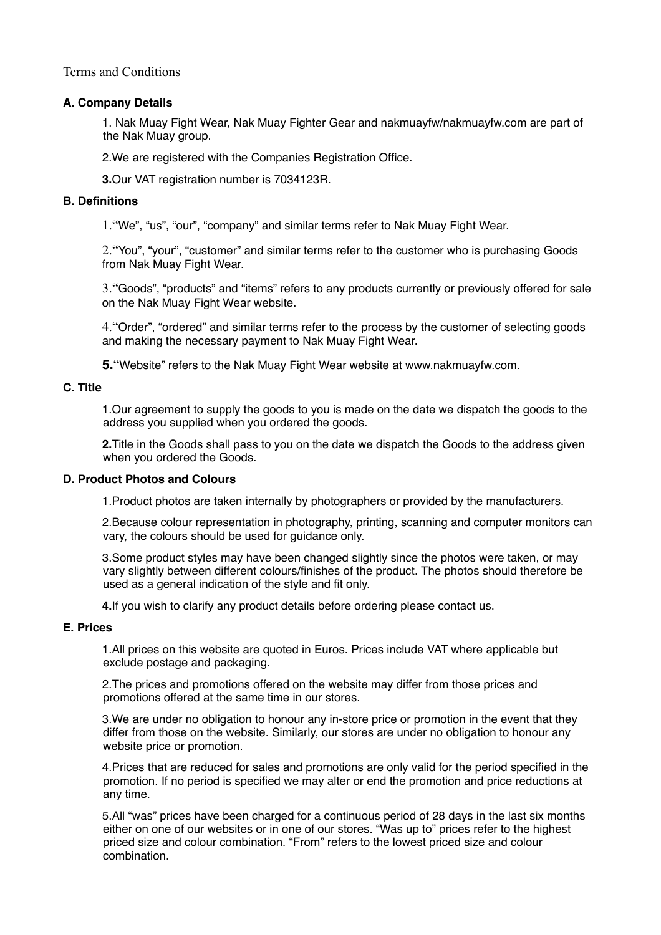Terms and Conditions

# **A. Company Details**

1. Nak Muay Fight Wear, Nak Muay Fighter Gear and nakmuayfw/nakmuayfw.com are part of the Nak Muay group.

2.We are registered with the Companies Registration Office.

**3.**Our VAT registration number is 7034123R.

## **B. Definitions**

1."We", "us", "our", "company" and similar terms refer to Nak Muay Fight Wear.

2."You", "your", "customer" and similar terms refer to the customer who is purchasing Goods from Nak Muay Fight Wear.

3."Goods", "products" and "items" refers to any products currently or previously offered for sale on the Nak Muay Fight Wear website.

4."Order", "ordered" and similar terms refer to the process by the customer of selecting goods and making the necessary payment to Nak Muay Fight Wear.

**5.**"Website" refers to the Nak Muay Fight Wear website at www.nakmuayfw.com.

#### **C. Title**

1.Our agreement to supply the goods to you is made on the date we dispatch the goods to the address you supplied when you ordered the goods.

**2.**Title in the Goods shall pass to you on the date we dispatch the Goods to the address given when you ordered the Goods.

## **D. Product Photos and Colours**

1.Product photos are taken internally by photographers or provided by the manufacturers.

2.Because colour representation in photography, printing, scanning and computer monitors can vary, the colours should be used for guidance only.

3.Some product styles may have been changed slightly since the photos were taken, or may vary slightly between different colours/finishes of the product. The photos should therefore be used as a general indication of the style and fit only.

**4.**If you wish to clarify any product details before ordering please contact us.

# **E. Prices**

1.All prices on this website are quoted in Euros. Prices include VAT where applicable but exclude postage and packaging.

2.The prices and promotions offered on the website may differ from those prices and promotions offered at the same time in our stores.

3.We are under no obligation to honour any in-store price or promotion in the event that they differ from those on the website. Similarly, our stores are under no obligation to honour any website price or promotion.

4.Prices that are reduced for sales and promotions are only valid for the period specified in the promotion. If no period is specified we may alter or end the promotion and price reductions at any time.

5.All "was" prices have been charged for a continuous period of 28 days in the last six months either on one of our websites or in one of our stores. "Was up to" prices refer to the highest priced size and colour combination. "From" refers to the lowest priced size and colour combination.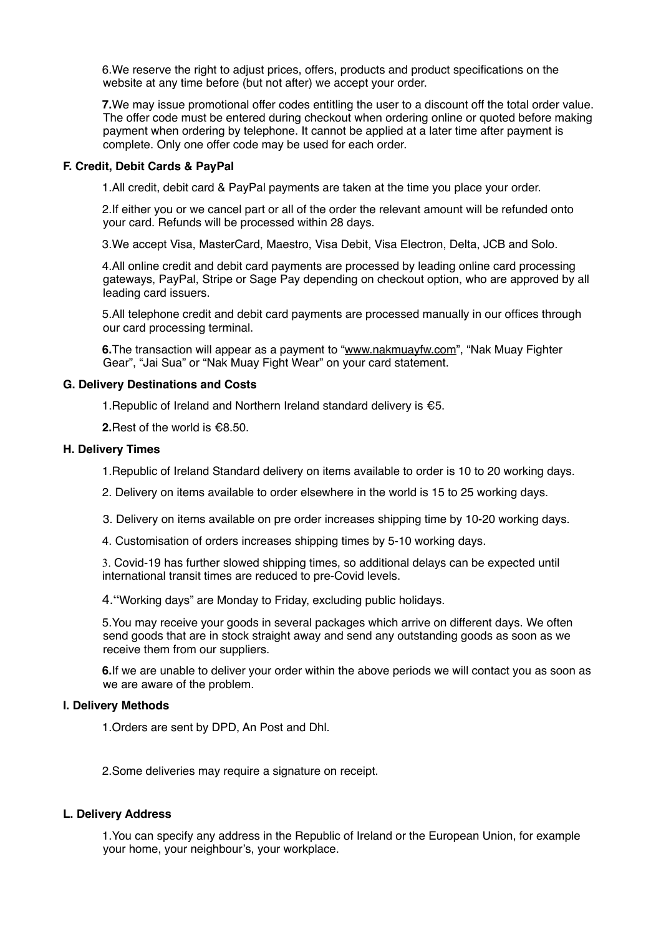6.We reserve the right to adjust prices, offers, products and product specifications on the website at any time before (but not after) we accept your order.

**7.**We may issue promotional offer codes entitling the user to a discount off the total order value. The offer code must be entered during checkout when ordering online or quoted before making payment when ordering by telephone. It cannot be applied at a later time after payment is complete. Only one offer code may be used for each order.

## **F. Credit, Debit Cards & PayPal**

1.All credit, debit card & PayPal payments are taken at the time you place your order.

2.If either you or we cancel part or all of the order the relevant amount will be refunded onto your card. Refunds will be processed within 28 days.

3.We accept Visa, MasterCard, Maestro, Visa Debit, Visa Electron, Delta, JCB and Solo.

4.All online credit and debit card payments are processed by leading online card processing gateways, PayPal, Stripe or Sage Pay depending on checkout option, who are approved by all leading card issuers.

5.All telephone credit and debit card payments are processed manually in our offices through our card processing terminal.

**6.**The transaction will appear as a payment to ["www.nakmuayfw.com"](http://www.nakmuayfw.com/), "Nak Muay Fighter Gear", "Jai Sua" or "Nak Muay Fight Wear" on your card statement.

## **G. Delivery Destinations and Costs**

1.Republic of Ireland and Northern Ireland standard delivery is €5.

**2.**Rest of the world is €8.50.

## **H. Delivery Times**

1.Republic of Ireland Standard delivery on items available to order is 10 to 20 working days.

- 2. Delivery on items available to order elsewhere in the world is 15 to 25 working days.
- 3. Delivery on items available on pre order increases shipping time by 10-20 working days.
- 4. Customisation of orders increases shipping times by 5-10 working days.

3. Covid-19 has further slowed shipping times, so additional delays can be expected until international transit times are reduced to pre-Covid levels.

4."Working days" are Monday to Friday, excluding public holidays.

5.You may receive your goods in several packages which arrive on different days. We often send goods that are in stock straight away and send any outstanding goods as soon as we receive them from our suppliers.

**6.**If we are unable to deliver your order within the above periods we will contact you as soon as we are aware of the problem.

# **I. Delivery Methods**

1.Orders are sent by DPD, An Post and Dhl.

2.Some deliveries may require a signature on receipt.

# **L. Delivery Address**

1.You can specify any address in the Republic of Ireland or the European Union, for example your home, your neighbour's, your workplace.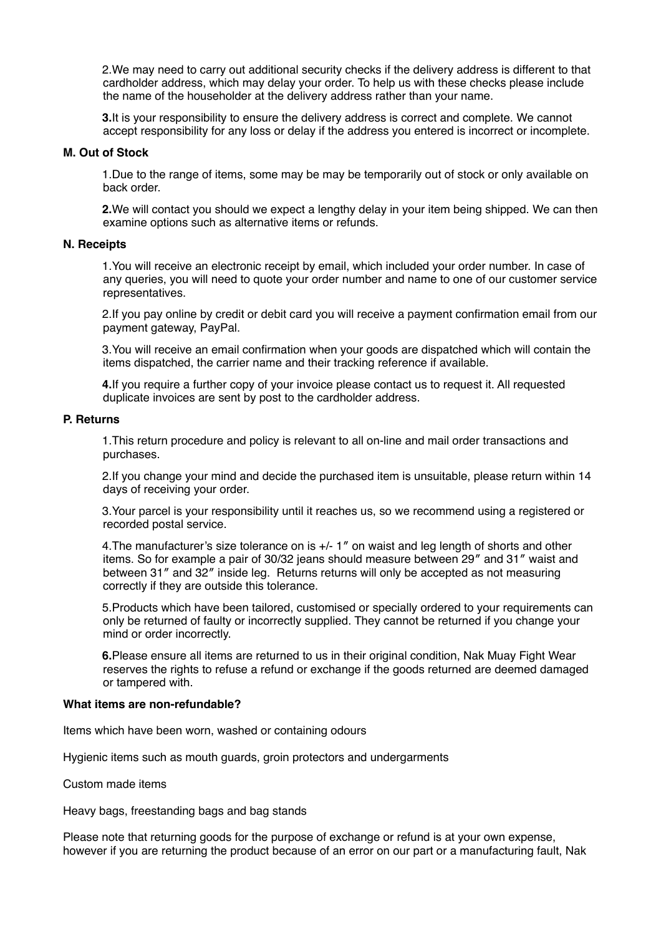2.We may need to carry out additional security checks if the delivery address is different to that cardholder address, which may delay your order. To help us with these checks please include the name of the householder at the delivery address rather than your name.

**3.**It is your responsibility to ensure the delivery address is correct and complete. We cannot accept responsibility for any loss or delay if the address you entered is incorrect or incomplete.

#### **M. Out of Stock**

1.Due to the range of items, some may be may be temporarily out of stock or only available on back order.

**2.**We will contact you should we expect a lengthy delay in your item being shipped. We can then examine options such as alternative items or refunds.

#### **N. Receipts**

1.You will receive an electronic receipt by email, which included your order number. In case of any queries, you will need to quote your order number and name to one of our customer service representatives.

2.If you pay online by credit or debit card you will receive a payment confirmation email from our payment gateway, PayPal.

3.You will receive an email confirmation when your goods are dispatched which will contain the items dispatched, the carrier name and their tracking reference if available.

**4.**If you require a further copy of your invoice please contact us to request it. All requested duplicate invoices are sent by post to the cardholder address.

#### **P. Returns**

1.This return procedure and policy is relevant to all on-line and mail order transactions and purchases.

2.If you change your mind and decide the purchased item is unsuitable, please return within 14 days of receiving your order.

3.Your parcel is your responsibility until it reaches us, so we recommend using a registered or recorded postal service.

4.The manufacturer's size tolerance on is +/- 1″ on waist and leg length of shorts and other items. So for example a pair of 30/32 jeans should measure between 29″ and 31″ waist and between 31″ and 32″ inside leg. Returns returns will only be accepted as not measuring correctly if they are outside this tolerance.

5.Products which have been tailored, customised or specially ordered to your requirements can only be returned of faulty or incorrectly supplied. They cannot be returned if you change your mind or order incorrectly.

**6.**Please ensure all items are returned to us in their original condition, Nak Muay Fight Wear reserves the rights to refuse a refund or exchange if the goods returned are deemed damaged or tampered with.

#### **What items are non-refundable?**

Items which have been worn, washed or containing odours

Hygienic items such as mouth guards, groin protectors and undergarments

Custom made items

Heavy bags, freestanding bags and bag stands

Please note that returning goods for the purpose of exchange or refund is at your own expense, however if you are returning the product because of an error on our part or a manufacturing fault, Nak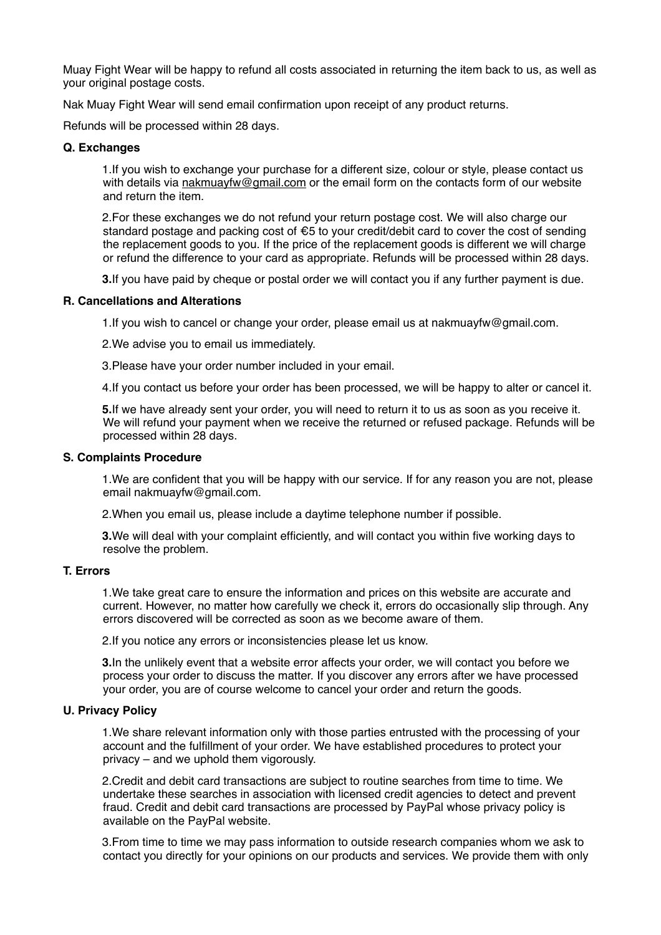Muay Fight Wear will be happy to refund all costs associated in returning the item back to us, as well as your original postage costs.

Nak Muay Fight Wear will send email confirmation upon receipt of any product returns.

Refunds will be processed within 28 days.

## **Q. Exchanges**

1.If you wish to exchange your purchase for a different size, colour or style, please contact us with details via [nakmuayfw@gmail.com](mailto:nakmuayfw@gmail.com) or the email form on the contacts form of our website and return the item.

2.For these exchanges we do not refund your return postage cost. We will also charge our standard postage and packing cost of €5 to your credit/debit card to cover the cost of sending the replacement goods to you. If the price of the replacement goods is different we will charge or refund the difference to your card as appropriate. Refunds will be processed within 28 days.

**3.**If you have paid by cheque or postal order we will contact you if any further payment is due.

## **R. Cancellations and Alterations**

1.If you wish to cancel or change your order, please email us at nakmuayfw@gmail.com.

2.We advise you to email us immediately.

3.Please have your order number included in your email.

4.If you contact us before your order has been processed, we will be happy to alter or cancel it.

**5.**If we have already sent your order, you will need to return it to us as soon as you receive it. We will refund your payment when we receive the returned or refused package. Refunds will be processed within 28 days.

## **S. Complaints Procedure**

1.We are confident that you will be happy with our service. If for any reason you are not, please email nakmuayfw@gmail.com.

2.When you email us, please include a daytime telephone number if possible.

**3.**We will deal with your complaint efficiently, and will contact you within five working days to resolve the problem.

# **T. Errors**

1.We take great care to ensure the information and prices on this website are accurate and current. However, no matter how carefully we check it, errors do occasionally slip through. Any errors discovered will be corrected as soon as we become aware of them.

2.If you notice any errors or inconsistencies please let us know.

**3.**In the unlikely event that a website error affects your order, we will contact you before we process your order to discuss the matter. If you discover any errors after we have processed your order, you are of course welcome to cancel your order and return the goods.

# **U. Privacy Policy**

1.We share relevant information only with those parties entrusted with the processing of your account and the fulfillment of your order. We have established procedures to protect your privacy – and we uphold them vigorously.

2.Credit and debit card transactions are subject to routine searches from time to time. We undertake these searches in association with licensed credit agencies to detect and prevent fraud. Credit and debit card transactions are processed by PayPal whose privacy policy is available on the PayPal website.

3.From time to time we may pass information to outside research companies whom we ask to contact you directly for your opinions on our products and services. We provide them with only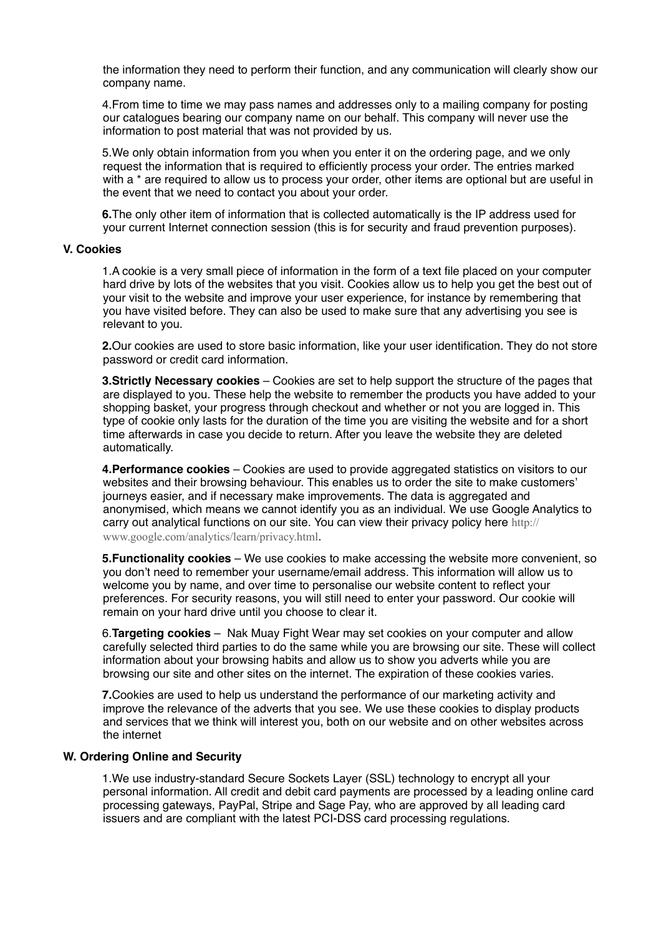the information they need to perform their function, and any communication will clearly show our company name.

4.From time to time we may pass names and addresses only to a mailing company for posting our catalogues bearing our company name on our behalf. This company will never use the information to post material that was not provided by us.

5.We only obtain information from you when you enter it on the ordering page, and we only request the information that is required to efficiently process your order. The entries marked with a \* are required to allow us to process your order, other items are optional but are useful in the event that we need to contact you about your order.

**6.**The only other item of information that is collected automatically is the IP address used for your current Internet connection session (this is for security and fraud prevention purposes).

#### **V. Cookies**

1.A cookie is a very small piece of information in the form of a text file placed on your computer hard drive by lots of the websites that you visit. Cookies allow us to help you get the best out of your visit to the website and improve your user experience, for instance by remembering that you have visited before. They can also be used to make sure that any advertising you see is relevant to you.

**2.**Our cookies are used to store basic information, like your user identification. They do not store password or credit card information.

**3.Strictly Necessary cookies** – Cookies are set to help support the structure of the pages that are displayed to you. These help the website to remember the products you have added to your shopping basket, your progress through checkout and whether or not you are logged in. This type of cookie only lasts for the duration of the time you are visiting the website and for a short time afterwards in case you decide to return. After you leave the website they are deleted automatically.

**4.Performance cookies** – Cookies are used to provide aggregated statistics on visitors to our websites and their browsing behaviour. This enables us to order the site to make customers' journeys easier, and if necessary make improvements. The data is aggregated and anonymised, which means we cannot identify you as an individual. We use Google Analytics to [carry out analytical functions on our site. You can view their privacy policy here](http://www.google.com/analytics/learn/privacy.html) http:// www.google.com/analytics/learn/privacy.html.

**5.Functionality cookies** – We use cookies to make accessing the website more convenient, so you don't need to remember your username/email address. This information will allow us to welcome you by name, and over time to personalise our website content to reflect your preferences. For security reasons, you will still need to enter your password. Our cookie will remain on your hard drive until you choose to clear it.

6.**Targeting cookies** – Nak Muay Fight Wear may set cookies on your computer and allow carefully selected third parties to do the same while you are browsing our site. These will collect information about your browsing habits and allow us to show you adverts while you are browsing our site and other sites on the internet. The expiration of these cookies varies.

**7.**Cookies are used to help us understand the performance of our marketing activity and improve the relevance of the adverts that you see. We use these cookies to display products and services that we think will interest you, both on our website and on other websites across the internet

#### **W. Ordering Online and Security**

1.We use industry-standard Secure Sockets Layer (SSL) technology to encrypt all your personal information. All credit and debit card payments are processed by a leading online card processing gateways, PayPal, Stripe and Sage Pay, who are approved by all leading card issuers and are compliant with the latest PCI-DSS card processing regulations.